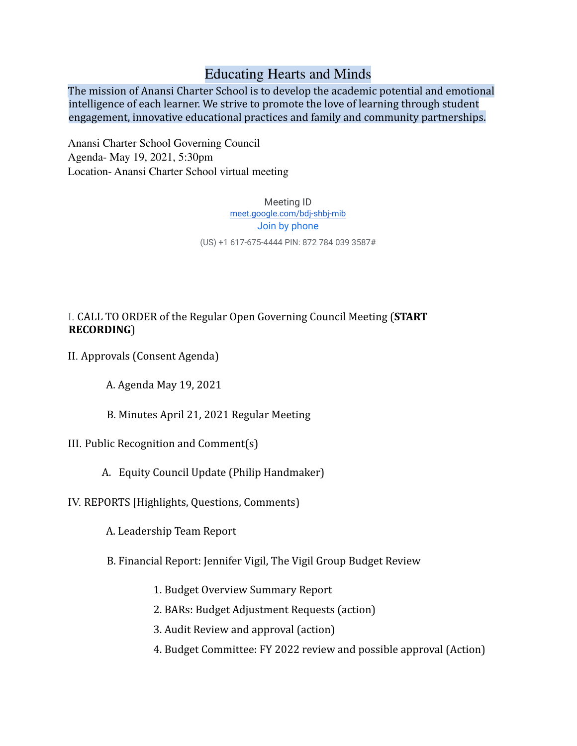# Educating Hearts and Minds

The mission of Anansi Charter School is to develop the academic potential and emotional intelligence of each learner. We strive to promote the love of learning through student engagement, innovative educational practices and family and community partnerships.

Anansi Charter School Governing Council Agenda- May 19, 2021, 5:30pm Location- Anansi Charter School virtual meeting

> Meeting ID meet.google.com/bdj-shbj-mib Join by phone (US) +1 617-675-4444 PIN: 872 784 039 3587#

## I. CALL TO ORDER of the Regular Open Governing Council Meeting (**START RECORDING**)

- II. Approvals (Consent Agenda)
	- A. Agenda May 19, 2021
	- B. Minutes April 21, 2021 Regular Meeting
- III. Public Recognition and Comment(s)
	- A. Equity Council Update (Philip Handmaker)
- IV. REPORTS [Highlights, Questions, Comments)
	- A. Leadership Team Report
	- B. Financial Report: Jennifer Vigil, The Vigil Group Budget Review
		- 1. Budget Overview Summary Report
		- 2. BARs: Budget Adjustment Requests (action)
		- 3. Audit Review and approval (action)
		- 4. Budget Committee: FY 2022 review and possible approval (Action)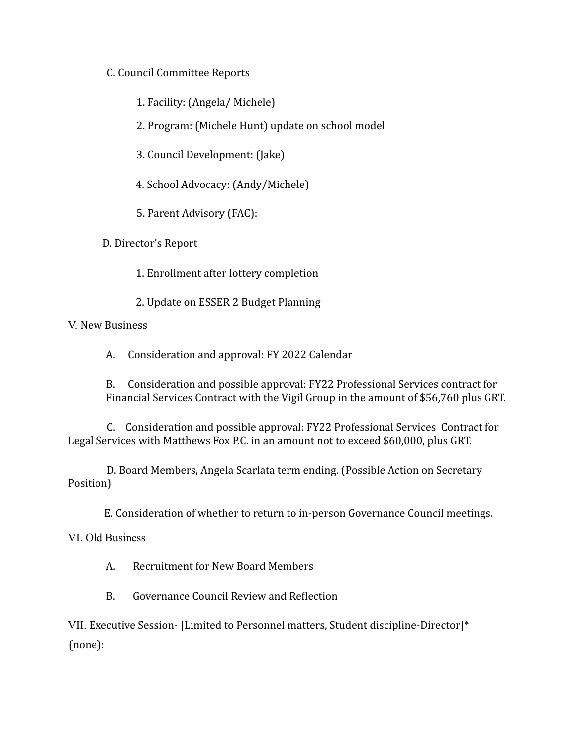## C. Council Committee Reports

1. Facility: (Angela/ Michele)

2. Program: (Michele Hunt) update on school model

3. Council Development: (Jake)

4. School Advocacy: (Andy/Michele)

5. Parent Advisory (FAC):

D. Director's Report

1. Enrollment after lottery completion

2. Update on ESSER 2 Budget Planning

### V. New Business

A. Consideration and approval: FY 2022 Calendar

B. Consideration and possible approval: FY22 Professional Services contract for Financial Services Contract with the Vigil Group in the amount of \$56,760 plus GRT.

C. Consideration and possible approval: FY22 Professional Services Contract for Legal Services with Matthews Fox P.C. in an amount not to exceed \$60,000, plus GRT.

D. Board Members, Angela Scarlata term ending. (Possible Action on Secretary Position)

E. Consideration of whether to return to in-person Governance Council meetings.

VI. Old Business

A. Recruitment for New Board Members

B. Governance Council Review and Reflection

VII. Executive Session- [Limited to Personnel matters, Student discipline-Director]\* (none):